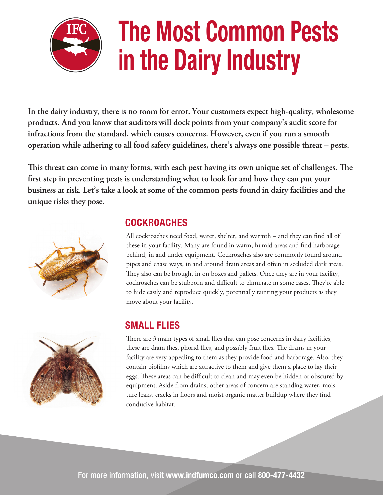

# **The Most Common Pests in the Dairy Industry**

**In the dairy industry, there is no room for error. Your customers expect high-quality, wholesome products. And you know that auditors will dock points from your company's audit score for infractions from the standard, which causes concerns. However, even if you run a smooth operation while adhering to all food safety guidelines, there's always one possible threat – pests.** 

This threat can come in many forms, with each pest having its own unique set of challenges. The first step in preventing pests is understanding what to look for and how they can put your **business at risk. Let's take a look at some of the common pests found in dairy facilities and the unique risks they pose.** 







# **COCKROACHES**

All cockroaches need food, water, shelter, and warmth – and they can find all of these in your facility. Many are found in warm, humid areas and find harborage behind, in and under equipment. Cockroaches also are commonly found around pipes and chase ways, in and around drain areas and often in secluded dark areas. They also can be brought in on boxes and pallets. Once they are in your facility, cockroaches can be stubborn and difficult to eliminate in some cases. They're able to hide easily and reproduce quickly, potentially tainting your products as they move about your facility.

### **SMALL FLIES**

There are 3 main types of small flies that can pose concerns in dairy facilities, these are drain flies, phorid flies, and possibly fruit flies. The drains in your facility are very appealing to them as they provide food and harborage. Also, they contain biofilms which are attractive to them and give them a place to lay their eggs. These areas can be difficult to clean and may even be hidden or obscured by equipment. Aside from drains, other areas of concern are standing water, moisture leaks, cracks in floors and moist organic matter buildup where they find conducive habitat.